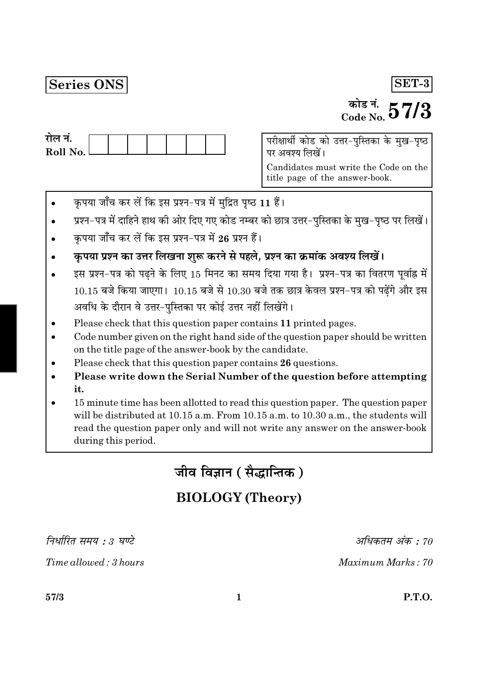# Series ONS

# SET-3

# <sup>कोड नं.</sup>,  $57/3$

| राल न.     |  |  |  |  |
|------------|--|--|--|--|
| Roll No. l |  |  |  |  |
|            |  |  |  |  |

परीक्षार्थी कोड को उत्तर-पुस्तिका के मुख-पृष्ठ पर अवश्य लिखें।

Candidates must write the Code on the title page of the answer-book.

- कृपया जाँच कर लें कि इस प्रश्न-पत्र में मुद्रित पृष्ठ 11 हैं।
- प्रश्न-पत्र में दाहिने हाथ की ओर दिए गए कोड नम्बर को छात्र उत्तर-पुस्तिका के मुख-पृष्ठ पर लिखें।
- कपया जाँच कर लें कि इस प्रश्न-पत्र में 26 प्रश्न हैं।
- कृपया प्रश्न का उत्तर लिखना शुरू करने से पहले, प्रश्न का क्रमांक अवश्य लिखें।
- इस प्रश्न-पत्र को पढ़ने के लिए 15 मिनट का समय दिया गया है। प्रश्न-पत्र का वितरण पूर्वाह्न में  $10.15$  बजे किया जाएगा।  $10.15$  बजे से  $10.30$  बजे तक छात्र केवल प्रश्न-पत्र को पढ़ेंगे और इस अवधि के दौरान वे उत्तर-पुस्तिका पर कोई उत्तर नहीं लिखेंगे।
- Please check that this question paper contains 11 printed pages.
- Code number given on the right hand side of the question paper should be written on the title page of the answer-book by the candidate.
- Please check that this question paper contains 26 questions.
- Please write down the Serial Number of the question before attempting it.
- 15 minute time has been allotted to read this question paper. The question paper will be distributed at 10.15 a.m. From 10.15 a.m. to 10.30 a.m., the students will read the question paper only and will not write any answer on the answer-book during this period.

जीव विज्ञान ( सैद्धान्तिक )

# **BIOLOGY** (Theory)

निर्धारित समय : 3 घण्टे

Time allowed: 3 hours

अधिकतम अंक : 70

Maximum Marks: 70

57/3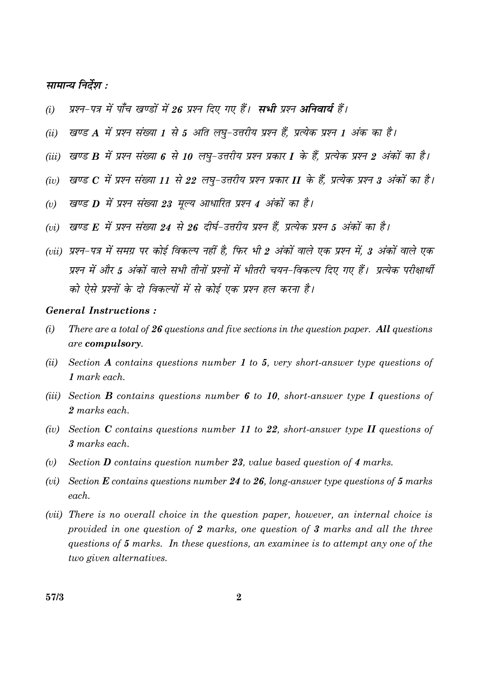## सामान्य निर्देश :

- प्रश्न-पत्र में पाँच खण्डों में 26 प्रश्न दिए गए हैं। सभी प्रश्न अनिवार्य हैं।  $(i)$
- खण्ड A में प्रश्न संख्या 1 से 5 अति लघू-उत्तरीय प्रश्न हैं, प्रत्येक प्रश्न 1 अंक का है।  $(ii)$
- (iii) खण्ड B में प्रश्न संख्या 6 से 10 लघु-उत्तरीय प्रश्न प्रकार I के हैं, प्रत्येक प्रश्न 2 अंकों का है।
- (iv) खण्ड  $C$  में प्रश्न संख्या 11 से 22 लघ-उत्तरीय प्रश्न प्रकार II के हैं, प्रत्येक प्रश्न 3 अंकों का है।
- खण्ड D में प्रश्न संख्या 23 मूल्य आधारित प्रश्न 4 अंकों का है।  $(v)$
- (vi) खण्ड F, में प्रश्न संख्या 24 से 26 दीर्घ-उत्तरीय प्रश्न हैं, प्रत्येक प्रश्न 5 अंकों का है।
- (vii) प्रश्न-पत्र में समग्र पर कोई विकल्प नहीं है. फिर भी 2 अंकों वाले एक प्रश्न में, 3 अंकों वाले एक प्रश्न में और 5 अंकों वाले सभी तीनों प्रश्नों में भीतरी चयन-विकल्प दिए गए हैं। प्रत्येक परीक्षार्थी को ऐसे प्रश्नों के दो विकल्पों में से कोई एक प्रश्न हल करना है।

#### **General Instructions:**

- $(i)$ There are a total of  $26$  questions and five sections in the question paper. All questions are compulsory.
- $(ii)$ Section A contains questions number 1 to 5, very short-answer type questions of  $1$  mark each.
- (iii) Section **B** contains questions number 6 to 10, short-answer type I questions of 2 marks each.
- (iv) Section C contains questions number 11 to 22, short-answer type II questions of 3 marks each.
- $(v)$ Section **D** contains question number 23, value based question of 4 marks.
- (vi) Section  $E$  contains questions number 24 to 26, long-answer type questions of 5 marks each.
- (*vii*) There is no overall choice in the question paper, however, an internal choice is provided in one question of 2 marks, one question of 3 marks and all the three questions of 5 marks. In these questions, an examinee is to attempt any one of the two given alternatives.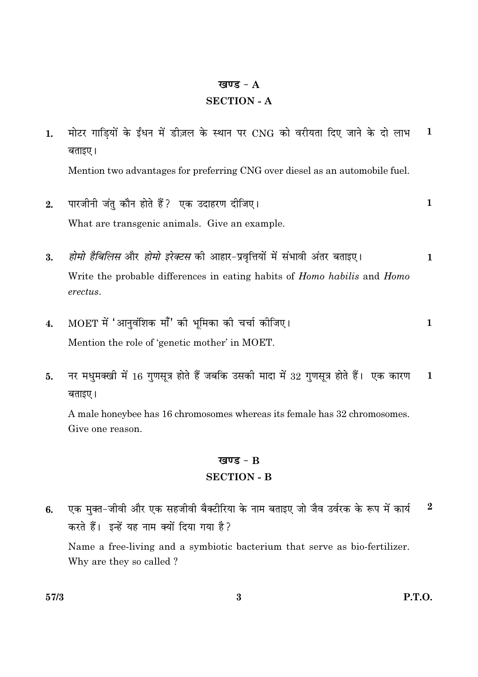#### खण्ड -  $A$

#### **SECTION - A**

- मोटर गाड़ियों के ईंधन में डीज़ल के स्थान पर CNG को वरीयता दिए जाने के दो लाभ  $\mathbf{1}$  $1.$ बताइए। Mention two advantages for preferring CNG over diesel as an automobile fuel.
- पारजीनी जंतु कौन होते हैं? एक उदाहरण दीजिए।  $\mathbf{1}$  $2.$ What are transgenic animals. Give an example.
- होमो हैबिलिस और होमो इरेक्टस की आहार-प्रवृत्तियों में संभावी अंतर बताइए।  $\overline{3}$ .  $\mathbf{1}$ Write the probable differences in eating habits of *Homo habilis* and *Homo* erectus.
- MOET में 'आनुवंशिक माँ' की भूमिका की चर्चा कीजिए।  $\mathbf{1}$  $\boldsymbol{4}$ . Mention the role of 'genetic mother' in MOET.
- नर मधुमक्खी में 16 गुणसूत्र होते हैं जबकि उसकी मादा में 32 गुणसूत्र होते हैं। एक कारण  $\mathbf{1}$  $5.$ बताइए।

A male honeybee has 16 chromosomes whereas its female has 32 chromosomes. Give one reason.

#### खण्ड -  $B$

#### **SECTION - B**

एक मुक्त-जीवी और एक सहजीवी बैक्टीरिया के नाम बताइए जो जैव उर्वरक के रूप में कार्य  $\overline{2}$ 6. करते हैं। इन्हें यह नाम क्यों दिया गया है? Name a free-living and a symbiotic bacterium that serve as bio-fertilizer. Why are they so called?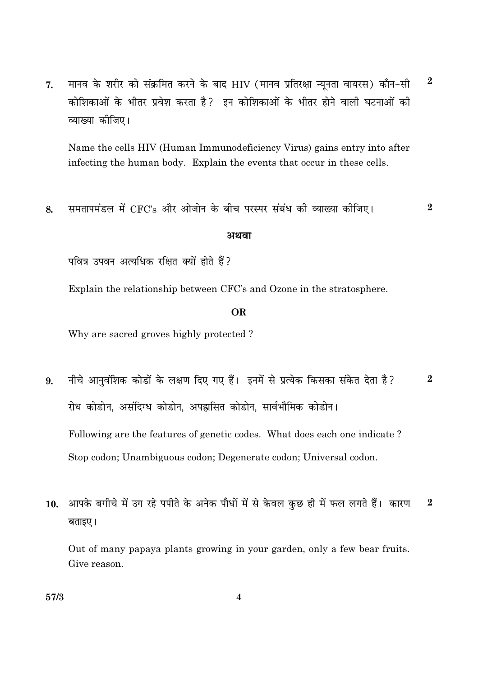मानव के शरीर को संक्रमित करने के बाद HIV (मानव प्रतिरक्षा न्यूनता वायरस) कौन-सी  $7.$ कोशिकाओं के भीतर प्रवेश करता है? इन कोशिकाओं के भीतर होने वाली घटनाओं की व्याख्या कीजिए।

Name the cells HIV (Human Immunodeficiency Virus) gains entry into after infecting the human body. Explain the events that occur in these cells.

समतापमंडल में CFC's और ओजोन के बीच परस्पर संबंध की व्याख्या कीजिए। 8.

#### अथवा

पवित्र उपवन अत्यधिक रक्षित क्यों होते हैं?

Explain the relationship between CFC's and Ozone in the stratosphere.

#### **OR**

Why are sacred groves highly protected?

- नीचे आनुवंशिक कोडों के लक्षण दिए गए हैं। इनमें से प्रत्येक किसका संकेत देता है?  $\overline{2}$ 9. रोध कोडोन, असंदिग्ध कोडोन, अपह्लसित कोडोन, सार्वभौमिक कोडोन। Following are the features of genetic codes. What does each one indicate? Stop codon; Unambiguous codon; Degenerate codon; Universal codon.
- आपके बगीचे में उग रहे पपीते के अनेक पौधों में से केवल कुछ ही में फल लगते हैं। कारण  $\boldsymbol{2}$ 10. बताइए।

Out of many papaya plants growing in your garden, only a few bear fruits. Give reason.

 $\overline{2}$ 

 $\boldsymbol{2}$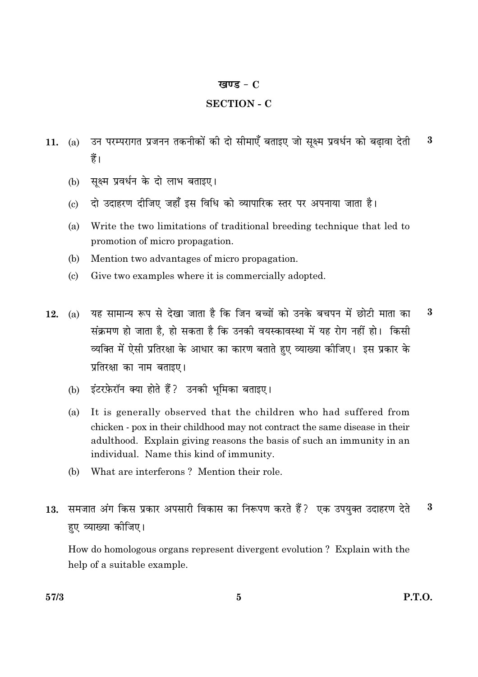#### खण्ड -  $C$

# **SECTION - C**

- उन परम्परागत प्रजनन तकनीकों की दो सीमाएँ बताइए जो सूक्ष्म प्रवर्धन को बढ़ावा देती 3 11.  $(a)$ हैं।
	- सूक्ष्म प्रवर्धन के दो लाभ बताइए।  $(b)$
	- दो उदाहरण दीजिए जहाँ इस विधि को व्यापारिक स्तर पर अपनाया जाता है।  $\left( \mathrm{c} \right)$
	- Write the two limitations of traditional breeding technique that led to  $(a)$ promotion of micro propagation.
	- (b) Mention two advantages of micro propagation.
	- $(c)$ Give two examples where it is commercially adopted.
- यह सामान्य रूप से देखा जाता है कि जिन बच्चों को उनके बचपन में छोटी माता का  $\bf{3}$  $12.$  $(a)$ संक्रमण हो जाता है. हो सकता है कि उनकी वयस्कावस्था में यह रोग नहीं हो। किसी व्यक्ति में ऐसी प्रतिरक्षा के आधार का कारण बताते हुए व्याख्या कीजिए। इस प्रकार के प्रतिरक्षा का नाम बताइए।
	- (b) इंटरफ़ेरॉन क्या होते हैं? उनकी भमिका बताइए।
	- It is generally observed that the children who had suffered from  $(a)$ chicken - pox in their childhood may not contract the same disease in their adulthood. Explain giving reasons the basis of such an immunity in an individual. Name this kind of immunity.
	- What are interferons? Mention their role. (b)
- 13. समजात अंग किस प्रकार अपसारी विकास का निरूपण करते हैं? एक उपयुक्त उदाहरण देते  $\overline{\mathbf{3}}$ हए व्याख्या कीजिए।

How do homologous organs represent divergent evolution? Explain with the help of a suitable example.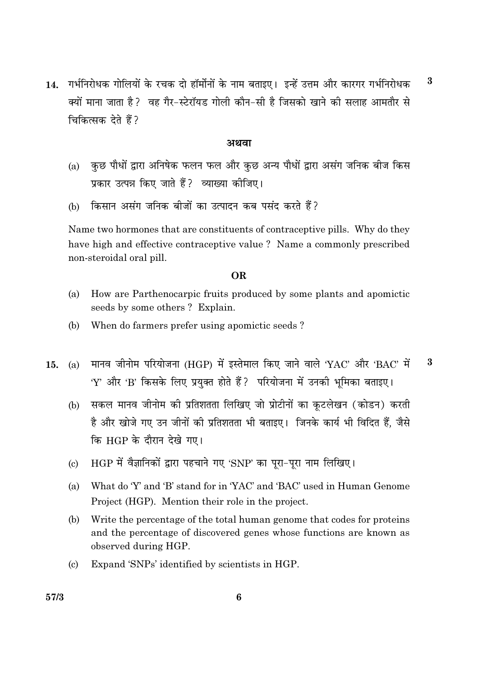गर्भनिरोधक गोलियों के रचक दो हॉर्मोनों के नाम बताइए। इन्हें उत्तम और कारगर गर्भनिरोधक  $\bf{3}$ 14. क्यों माना जाता है? वह गैर-स्टेरॉयड गोली कौन-सी है जिसको खाने की सलाह आमतौर से चिकित्सक देते हैं?

#### अथवा

- कुछ पौधों द्वारा अनिषेक फलन फल और कुछ अन्य पौधों द्वारा असंग जनिक बीज किस  $(a)$ प्रकार उत्पन्न किए जाते हैं? व्याख्या कीजिए।
- किसान असंग जनिक बीजों का उत्पादन कब पसंद करते हैं?  $(b)$

Name two hormones that are constituents of contraceptive pills. Why do they have high and effective contraceptive value? Name a commonly prescribed non-steroidal oral pill.

#### **OR**

- $(a)$ How are Parthenocarpic fruits produced by some plants and apomictic seeds by some others? Explain.
- $(b)$ When do farmers prefer using apomictic seeds?
- मानव जीनोम परियोजना (HGP) में इस्तेमाल किए जाने वाले 'YAC' और 'BAC' में 3  $(a)$ 15. 'Y' और 'B' किसके लिए प्रयुक्त होते हैं ? परियोजना में उनकी भूमिका बताइए।
	- सकल मानव जीनोम की प्रतिशतता लिखिए जो प्रोटीनों का कुटलेखन (कोडन) करती  $(b)$ है और खोजे गए उन जीनों की प्रतिशतता भी बताइए। जिनके कार्य भी विदित हैं, जैसे कि HGP के दौरान देखे गए।
	- HGP में वैज्ञानिकों द्वारा पहचाने गए 'SNP' का पूरा-पूरा नाम लिखिए।  $(c)$
	- What do 'Y' and 'B' stand for in 'YAC' and 'BAC' used in Human Genome  $(a)$ Project (HGP). Mention their role in the project.
	- $(b)$ Write the percentage of the total human genome that codes for proteins and the percentage of discovered genes whose functions are known as observed during HGP.
	- Expand 'SNPs' identified by scientists in HGP.  $(c)$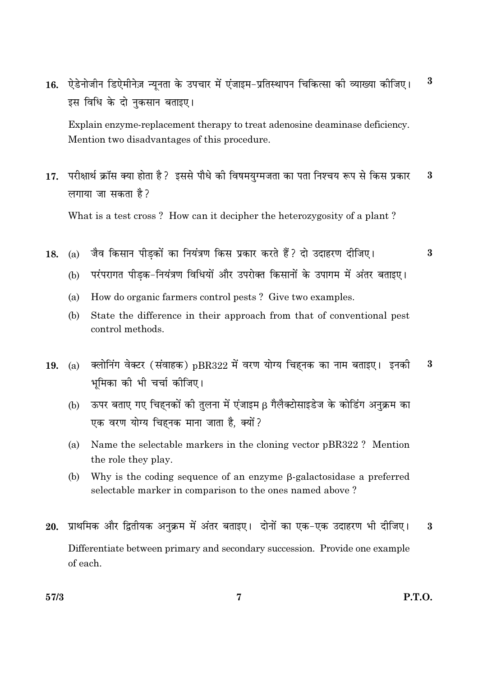$\bf{3}$ ऐडेनोजीन डिऐमीनेज़ न्यूनता के उपचार में एंजाइम-प्रतिस्थापन चिकित्सा की व्याख्या कीजिए।  $16.$ इस विधि के दो नुकसान बताइए।

Explain enzyme-replacement therapy to treat adenosine deaminase deficiency. Mention two disadvantages of this procedure.

परीक्षार्थ क्रॉस क्या होता है ? इससे पौधे की विषमयुग्मजता का पता निश्चय रूप से किस प्रकार  $\bf{3}$  $17.$ लगाया जा सकता है?

What is a test cross? How can it decipher the heterozygosity of a plant?

- जैव किसान पीडकों का नियंत्रण किस प्रकार करते हैं? दो उदाहरण दीजिए।  $(a)$ 18.
	- परंपरागत पीडक-नियंत्रण विधियों और उपरोक्त किसानों के उपागम में अंतर बताइए।  $(b)$
	- How do organic farmers control pests? Give two examples. (a)
	- $(b)$ State the difference in their approach from that of conventional pest control methods.
- क्लोनिंग वेक्टर (संवाहक) pBR322 में वरण योग्य चिहनक का नाम बताइए। इनकी  $\bf{3}$  $(a)$ 19. भमिका की भी चर्चा कीजिए।
	- ऊपर बताए गए चिहनकों की तुलना में एंजाइम β गैलैक्टोसाइडेज के कोडिंग अनुक्रम का  $(b)$ एक वरण योग्य चिहनक माना जाता है, क्यों?
	- Name the selectable markers in the cloning vector pBR322? Mention  $(a)$ the role they play.
	- Why is the coding sequence of an enzyme  $\beta$ -galactosidase a preferred (b) selectable marker in comparison to the ones named above?
- 20. प्राथमिक और द्वितीयक अनुक्रम में अंतर बताइए। दोनों का एक-एक उदाहरण भी दीजिए।  $\bf{3}$ Differentiate between primary and secondary succession. Provide one example of each.

 $\mathbf{R}$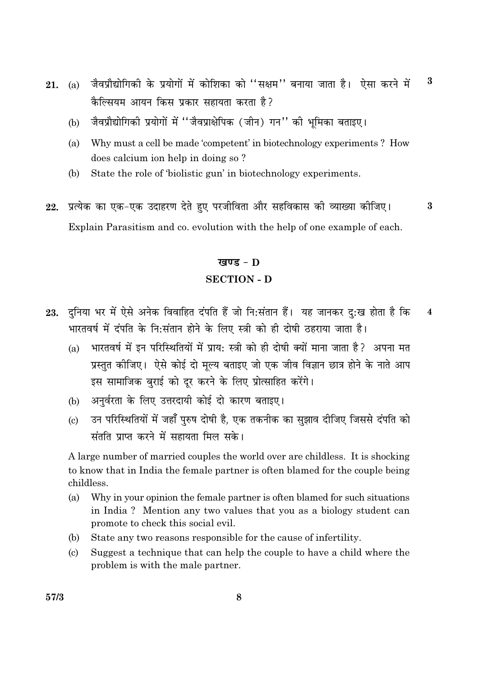- जैवप्रौद्योगिकी के प्रयोगों में कोशिका को "सक्षम" बनाया जाता है। ऐसा करने में  $\bf{3}$ **21.** (a) कैल्सियम आयन किस प्रकार सहायता करता है?
	- जैवप्रौद्योगिकी प्रयोगों में "जैवप्राक्षेपिक (जीन) गन" की भूमिका बताइए।  $(b)$
	- Why must a cell be made 'competent' in biotechnology experiments ? How  $(a)$ does calcium ion help in doing so?
	- State the role of 'biolistic gun' in biotechnology experiments. (b)
- प्रत्येक का एक-एक उदाहरण देते हुए परजीविता और सहविकास की व्याख्या कीजिए। 22. 3 Explain Parasitism and co. evolution with the help of one example of each.

#### खण्ड - D

## **SECTION - D**

- 23. दुनिया भर में ऐसे अनेक विवाहित दंपति हैं जो नि:संतान हैं। यह जानकर द:ख होता है कि  $\overline{\mathbf{4}}$ भारतवर्ष में दंपति के नि:संतान होने के लिए स्त्री को ही दोषी ठहराया जाता है।
	- भारतवर्ष में इन परिस्थितियों में प्राय: स्त्री को ही दोषी क्यों माना जाता है? अपना मत  $(a)$ प्रस्तत कीजिए। ऐसे कोई दो मल्य बताइए जो एक जीव विज्ञान छात्र होने के नाते आप इस सामाजिक बुराई को दूर करने के लिए प्रोत्साहित करेंगे।
	- अनुर्वरता के लिए उत्तरदायी कोई दो कारण बताइए।  $(h)$
	- उन परिस्थितियों में जहाँ पुरुष दोषी है, एक तकनीक का सुझाव दीजिए जिससे दंपति को  $\left( \mathrm{e}\right)$ संतति प्राप्त करने में सहायता मिल सके।

A large number of married couples the world over are childless. It is shocking to know that in India the female partner is often blamed for the couple being childless.

- $(a)$ Why in your opinion the female partner is often blamed for such situations in India? Mention any two values that you as a biology student can promote to check this social evil.
- State any two reasons responsible for the cause of infertility. (b)
- Suggest a technique that can help the couple to have a child where the  $(c)$ problem is with the male partner.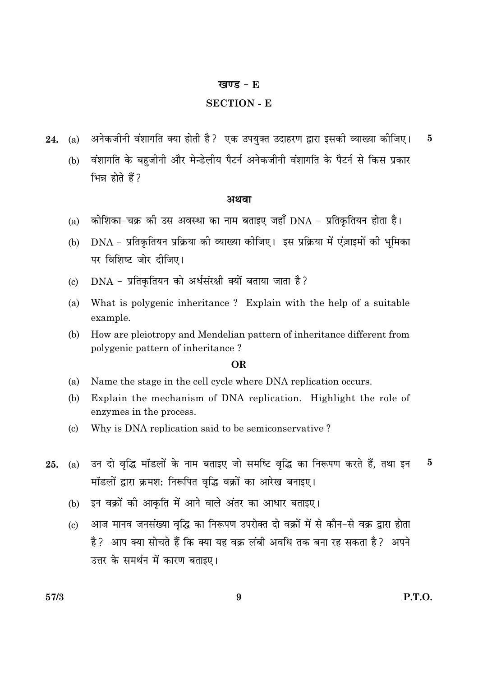#### खण्ड -  $E$

## **SECTION - E**

- अनेकजीनी वंशागति क्या होती है? एक उपयुक्त उदाहरण द्वारा इसकी व्याख्या कीजिए। 24.  $(a)$  $\overline{5}$ 
	- वंशागति के बहजीनी और मेन्डेलीय पैटर्न अनेकजीनी वंशागति के पैटर्न से किस प्रकार  $(b)$ भिन्न होते हैं?

#### अथवा

- कोशिका-चक्र की उस अवस्था का नाम बताइए जहाँ DNA प्रतिकृतियन होता है।  $(a)$
- DNA प्रतिकृतियन प्रक्रिया की व्याख्या कीजिए। इस प्रक्रिया में एंज़ाइमों की भूमिका  $(b)$ पर विशिष्ट जोर दीजिए।
- DNA प्रतिकृतियन को अर्धसंरक्षी क्यों बताया जाता है?  $\left( \mathrm{c}\right)$
- What is polygenic inheritance? Explain with the help of a suitable  $(a)$ example.
- How are pleiotropy and Mendelian pattern of inheritance different from  $(b)$ polygenic pattern of inheritance?

#### OR.

- Name the stage in the cell cycle where DNA replication occurs. (a)
- (b) Explain the mechanism of DNA replication. Highlight the role of enzymes in the process.
- $(c)$ Why is DNA replication said to be semiconservative?
- उन दो वृद्धि मॉडलों के नाम बताइए जो समष्टि वृद्धि का निरूपण करते हैं, तथा इन  $\overline{5}$ 25.  $(a)$ मॉडलों द्वारा क्रमश: निरूपित वृद्धि वक्रों का आरेख बनाइए।
	- इन वक्रों की आकृति में आने वाले अंतर का आधार बताइए।  $(b)$
	- (c) आज मानव जनसंख्या वद्धि का निरूपण उपरोक्त दो वक्रों में से कौन-से वक्र द्वारा होता है? आप क्या सोचते हैं कि क्या यह वक्र लंबी अवधि तक बना रह सकता है? अपने उत्तर के समर्थन में कारण बताइए।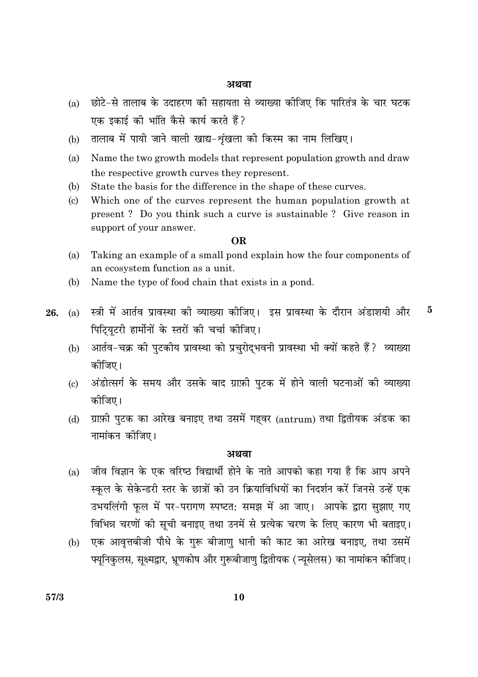#### अथवा

- छोटे-से तालाब के उदाहरण की सहायता से व्याख्या कीजिए कि पारितंत्र के चार घटक  $(a)$ एक इकाई की भांति कैसे कार्य करते हैं?
- तालाब में पायी जाने वाली खाद्य-शृंखला की किस्म का नाम लिखिए।  $(b)$
- $(a)$ Name the two growth models that represent population growth and draw the respective growth curves they represent.
- (b) State the basis for the difference in the shape of these curves.
- $\left( \mathrm{e}\right)$ Which one of the curves represent the human population growth at present? Do you think such a curve is sustainable? Give reason in support of your answer.

#### **OR**

- Taking an example of a small pond explain how the four components of  $(a)$ an ecosystem function as a unit.
- (b) Name the type of food chain that exists in a pond.
- स्त्री में आर्तव प्रावस्था की व्याख्या कीजिए। इस प्रावस्था के दौरान अंडाशयी और  $(a)$ 26. पिट्यिटरी हार्मोनों के स्तरों की चर्चा कीजिए।

 $\bf{5}$ 

- आर्तव-चक्र की पुटकीय प्रावस्था को प्रचुरोद्भवनी प्रावस्था भी क्यों कहते हैं? व्याख्या  $(b)$ कोजिए।
- अंडोत्सर्ग के समय और उसके बाद ग्राफ़ी पटक में होने वाली घटनाओं की व्याख्या  $\left( \mathrm{e}\right)$ कोजिए।
- ग्राफ़ी पुटक का आरेख बनाइए तथा उसमें गहवर (antrum) तथा द्वितीयक अंडक का  $(d)$ नामांकन कीजिए।

#### अथवा

- जीव विज्ञान के एक वरिष्ठ विद्यार्थी होने के नाते आपको कहा गया है कि आप अपने  $(a)$ स्कुल के सेकेन्डरी स्तर के छात्रों को उन क्रियाविधियों का निदर्शन करें जिनसे उन्हें एक उभयलिंगी फुल में पर-परागण स्पष्टत: समझ में आ जाए। आपके द्वारा सुझाए गए विभिन्न चरणों की सूची बनाइए तथा उनमें से प्रत्येक चरण के लिए कारण भी बताइए।
- (b) एक आवृत्तबीजी पौधे के गुरू बीजाणु धानी की काट का आरेख बनाइए, तथा उसमें फ्यूनिकुलस, सूक्ष्मद्वार, भ्रूणकोष और गुरूबीजाणु द्वितीयक (न्यूसेलस) का नामांकन कीजिए।